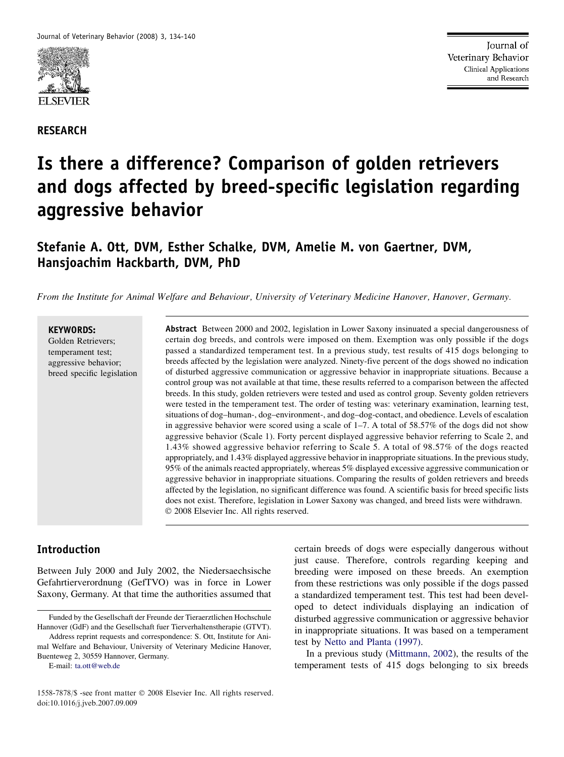

RESEARCH

# Is there a difference? Comparison of golden retrievers and dogs affected by breed-specific legislation regarding aggressive behavior

# Stefanie A. Ott, DVM, Esther Schalke, DVM, Amelie M. von Gaertner, DVM, Hansjoachim Hackbarth, DVM, PhD

From the Institute for Animal Welfare and Behaviour, University of Veterinary Medicine Hanover, Hanover, Germany.

#### KEYWORDS:

Golden Retrievers; temperament test; aggressive behavior; breed specific legislation Abstract Between 2000 and 2002, legislation in Lower Saxony insinuated a special dangerousness of certain dog breeds, and controls were imposed on them. Exemption was only possible if the dogs passed a standardized temperament test. In a previous study, test results of 415 dogs belonging to breeds affected by the legislation were analyzed. Ninety-five percent of the dogs showed no indication of disturbed aggressive communication or aggressive behavior in inappropriate situations. Because a control group was not available at that time, these results referred to a comparison between the affected breeds. In this study, golden retrievers were tested and used as control group. Seventy golden retrievers were tested in the temperament test. The order of testing was: veterinary examination, learning test, situations of dog–human-, dog–environment-, and dog–dog-contact, and obedience. Levels of escalation in aggressive behavior were scored using a scale of 1–7. A total of 58.57% of the dogs did not show aggressive behavior (Scale 1). Forty percent displayed aggressive behavior referring to Scale 2, and 1.43% showed aggressive behavior referring to Scale 5. A total of 98.57% of the dogs reacted appropriately, and 1.43% displayed aggressive behavior in inappropriate situations. In the previous study, 95% of the animals reacted appropriately, whereas 5% displayed excessive aggressive communication or aggressive behavior in inappropriate situations. Comparing the results of golden retrievers and breeds affected by the legislation, no significant difference was found. A scientific basis for breed specific lists does not exist. Therefore, legislation in Lower Saxony was changed, and breed lists were withdrawn.  $©$  2008 Elsevier Inc. All rights reserved.

# Introduction

Between July 2000 and July 2002, the Niedersaechsische Gefahrtierverordnung (GefTVO) was in force in Lower Saxony, Germany. At that time the authorities assumed that

Address reprint requests and correspondence: S. Ott, Institute for Animal Welfare and Behaviour, University of Veterinary Medicine Hanover, Buenteweg 2, 30559 Hannover, Germany.

E-mail: [ta.ott@web.de](mailto:ta.ott@web.de)

certain breeds of dogs were especially dangerous without just cause. Therefore, controls regarding keeping and breeding were imposed on these breeds. An exemption from these restrictions was only possible if the dogs passed a standardized temperament test. This test had been developed to detect individuals displaying an indication of disturbed aggressive communication or aggressive behavior in inappropriate situations. It was based on a temperament test by [Netto and Planta \(1997\).](#page-6-0)

In a previous study ([Mittmann, 2002\)](#page-6-0), the results of the temperament tests of 415 dogs belonging to six breeds

Funded by the Gesellschaft der Freunde der Tieraerztlichen Hochschule Hannover (GdF) and the Gesellschaft fuer Tierverhaltenstherapie (GTVT).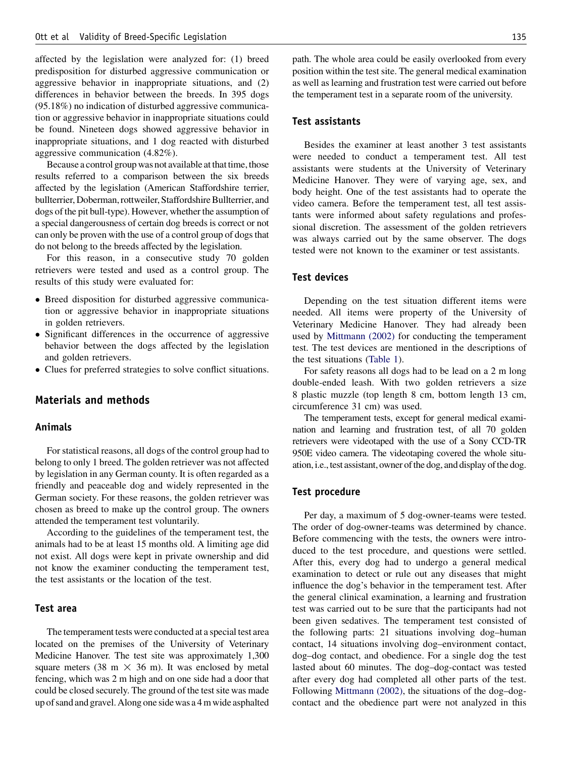affected by the legislation were analyzed for: (1) breed predisposition for disturbed aggressive communication or aggressive behavior in inappropriate situations, and (2) differences in behavior between the breeds. In 395 dogs (95.18%) no indication of disturbed aggressive communication or aggressive behavior in inappropriate situations could be found. Nineteen dogs showed aggressive behavior in inappropriate situations, and 1 dog reacted with disturbed aggressive communication (4.82%).

Because a control group was not available at that time, those results referred to a comparison between the six breeds affected by the legislation (American Staffordshire terrier, bullterrier, Doberman, rottweiler, Staffordshire Bullterrier, and dogs of the pit bull-type). However, whether the assumption of a special dangerousness of certain dog breeds is correct or not can only be proven with the use of a control group of dogs that do not belong to the breeds affected by the legislation.

For this reason, in a consecutive study 70 golden retrievers were tested and used as a control group. The results of this study were evaluated for:

- Breed disposition for disturbed aggressive communication or aggressive behavior in inappropriate situations in golden retrievers.
- Significant differences in the occurrence of aggressive behavior between the dogs affected by the legislation and golden retrievers.
- Clues for preferred strategies to solve conflict situations.

# Materials and methods

#### Animals

For statistical reasons, all dogs of the control group had to belong to only 1 breed. The golden retriever was not affected by legislation in any German county. It is often regarded as a friendly and peaceable dog and widely represented in the German society. For these reasons, the golden retriever was chosen as breed to make up the control group. The owners attended the temperament test voluntarily.

According to the guidelines of the temperament test, the animals had to be at least 15 months old. A limiting age did not exist. All dogs were kept in private ownership and did not know the examiner conducting the temperament test, the test assistants or the location of the test.

#### Test area

The temperament tests were conducted at a special test area located on the premises of the University of Veterinary Medicine Hanover. The test site was approximately 1,300 square meters (38 m  $\times$  36 m). It was enclosed by metal fencing, which was 2 m high and on one side had a door that could be closed securely. The ground of the test site was made up of sand and gravel. Along one sidewas a 4 m wide asphalted path. The whole area could be easily overlooked from every position within the test site. The general medical examination as well as learning and frustration test were carried out before the temperament test in a separate room of the university.

#### Test assistants

Besides the examiner at least another 3 test assistants were needed to conduct a temperament test. All test assistants were students at the University of Veterinary Medicine Hanover. They were of varying age, sex, and body height. One of the test assistants had to operate the video camera. Before the temperament test, all test assistants were informed about safety regulations and professional discretion. The assessment of the golden retrievers was always carried out by the same observer. The dogs tested were not known to the examiner or test assistants.

#### Test devices

Depending on the test situation different items were needed. All items were property of the University of Veterinary Medicine Hanover. They had already been used by [Mittmann \(2002\)](#page-6-0) for conducting the temperament test. The test devices are mentioned in the descriptions of the test situations ([Table 1](#page-2-0)).

For safety reasons all dogs had to be lead on a 2 m long double-ended leash. With two golden retrievers a size 8 plastic muzzle (top length 8 cm, bottom length 13 cm, circumference 31 cm) was used.

The temperament tests, except for general medical examination and learning and frustration test, of all 70 golden retrievers were videotaped with the use of a Sony CCD-TR 950E video camera. The videotaping covered the whole situation, i.e., test assistant, owner of the dog, and display of the dog.

#### Test procedure

Per day, a maximum of 5 dog-owner-teams were tested. The order of dog-owner-teams was determined by chance. Before commencing with the tests, the owners were introduced to the test procedure, and questions were settled. After this, every dog had to undergo a general medical examination to detect or rule out any diseases that might influence the dog's behavior in the temperament test. After the general clinical examination, a learning and frustration test was carried out to be sure that the participants had not been given sedatives. The temperament test consisted of the following parts: 21 situations involving dog–human contact, 14 situations involving dog–environment contact, dog–dog contact, and obedience. For a single dog the test lasted about 60 minutes. The dog–dog-contact was tested after every dog had completed all other parts of the test. Following [Mittmann \(2002\),](#page-6-0) the situations of the dog–dogcontact and the obedience part were not analyzed in this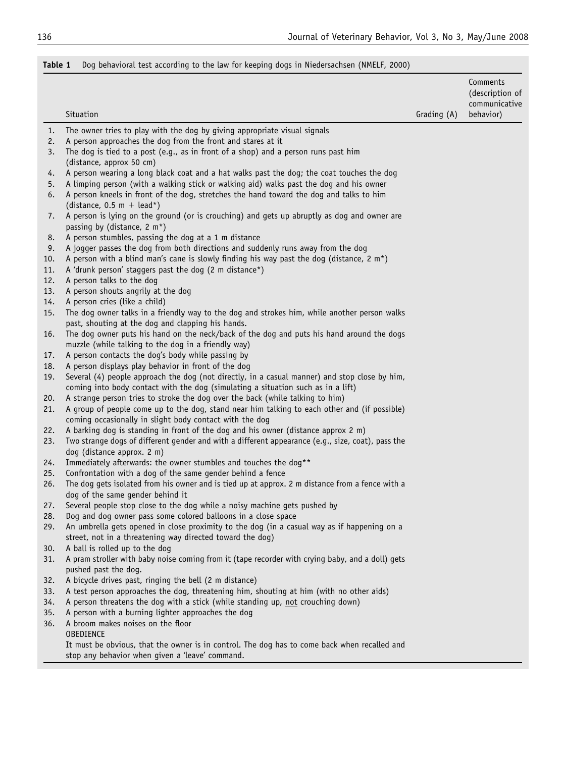# <span id="page-2-0"></span>Table 1 Dog behavioral test according to the law for keeping dogs in Niedersachsen (NMELF, 2000)

|            |                                                                                                                                                                                    |             | Comments<br>(description of<br>communicative |
|------------|------------------------------------------------------------------------------------------------------------------------------------------------------------------------------------|-------------|----------------------------------------------|
|            | Situation                                                                                                                                                                          | Grading (A) | behavior)                                    |
| 1.         | The owner tries to play with the dog by giving appropriate visual signals                                                                                                          |             |                                              |
| 2.         | A person approaches the dog from the front and stares at it                                                                                                                        |             |                                              |
| 3.         | The dog is tied to a post (e.g., as in front of a shop) and a person runs past him<br>(distance, approx 50 cm)                                                                     |             |                                              |
| 4.         | A person wearing a long black coat and a hat walks past the dog; the coat touches the dog                                                                                          |             |                                              |
| 5.<br>6.   | A limping person (with a walking stick or walking aid) walks past the dog and his owner<br>A person kneels in front of the dog, stretches the hand toward the dog and talks to him |             |                                              |
| 7.         | (distance, $0.5$ m + lead*)<br>A person is lying on the ground (or is crouching) and gets up abruptly as dog and owner are<br>passing by (distance, 2 m*)                          |             |                                              |
| 8.         | A person stumbles, passing the dog at a 1 m distance                                                                                                                               |             |                                              |
| 9.         | A jogger passes the dog from both directions and suddenly runs away from the dog                                                                                                   |             |                                              |
| 10.        | A person with a blind man's cane is slowly finding his way past the dog (distance, 2 m*)                                                                                           |             |                                              |
| 11.        | A 'drunk person' staggers past the dog (2 m distance*)                                                                                                                             |             |                                              |
| 12.        | A person talks to the dog                                                                                                                                                          |             |                                              |
| 13.        | A person shouts angrily at the dog                                                                                                                                                 |             |                                              |
| 14.        | A person cries (like a child)                                                                                                                                                      |             |                                              |
| 15.        | The dog owner talks in a friendly way to the dog and strokes him, while another person walks                                                                                       |             |                                              |
| 16.        | past, shouting at the dog and clapping his hands.<br>The dog owner puts his hand on the neck/back of the dog and puts his hand around the dogs                                     |             |                                              |
|            | muzzle (while talking to the dog in a friendly way)                                                                                                                                |             |                                              |
| 17.        | A person contacts the dog's body while passing by                                                                                                                                  |             |                                              |
| 18.        | A person displays play behavior in front of the dog                                                                                                                                |             |                                              |
| 19.        | Several (4) people approach the dog (not directly, in a casual manner) and stop close by him,<br>coming into body contact with the dog (simulating a situation such as in a lift)  |             |                                              |
| 20.        | A strange person tries to stroke the dog over the back (while talking to him)                                                                                                      |             |                                              |
| 21.        | A group of people come up to the dog, stand near him talking to each other and (if possible)<br>coming occasionally in slight body contact with the dog                            |             |                                              |
| 22.        | A barking dog is standing in front of the dog and his owner (distance approx 2 m)                                                                                                  |             |                                              |
| 23.        | Two strange dogs of different gender and with a different appearance (e.g., size, coat), pass the<br>dog (distance approx. 2 m)                                                    |             |                                              |
| 24.        | Immediately afterwards: the owner stumbles and touches the dog**                                                                                                                   |             |                                              |
| 25.        | Confrontation with a dog of the same gender behind a fence                                                                                                                         |             |                                              |
| 26.        | The dog gets isolated from his owner and is tied up at approx. 2 m distance from a fence with a<br>dog of the same gender behind it                                                |             |                                              |
| 27.        | Several people stop close to the dog while a noisy machine gets pushed by                                                                                                          |             |                                              |
| 28.        | Dog and dog owner pass some colored balloons in a close space                                                                                                                      |             |                                              |
| 29.        | An umbrella gets opened in close proximity to the dog (in a casual way as if happening on a<br>street, not in a threatening way directed toward the dog)                           |             |                                              |
| 30.        | A ball is rolled up to the dog                                                                                                                                                     |             |                                              |
| 31.        | A pram stroller with baby noise coming from it (tape recorder with crying baby, and a doll) gets<br>pushed past the dog.                                                           |             |                                              |
| 32.        | A bicycle drives past, ringing the bell (2 m distance)                                                                                                                             |             |                                              |
| 33.        | A test person approaches the dog, threatening him, shouting at him (with no other aids)                                                                                            |             |                                              |
| 34.        | A person threatens the dog with a stick (while standing up, not crouching down)                                                                                                    |             |                                              |
| 35.<br>36. | A person with a burning lighter approaches the dog<br>A broom makes noises on the floor                                                                                            |             |                                              |
|            | OBEDIENCE                                                                                                                                                                          |             |                                              |
|            | It must be obvious, that the owner is in control. The dog has to come back when recalled and<br>stop any behavior when given a 'leave' command.                                    |             |                                              |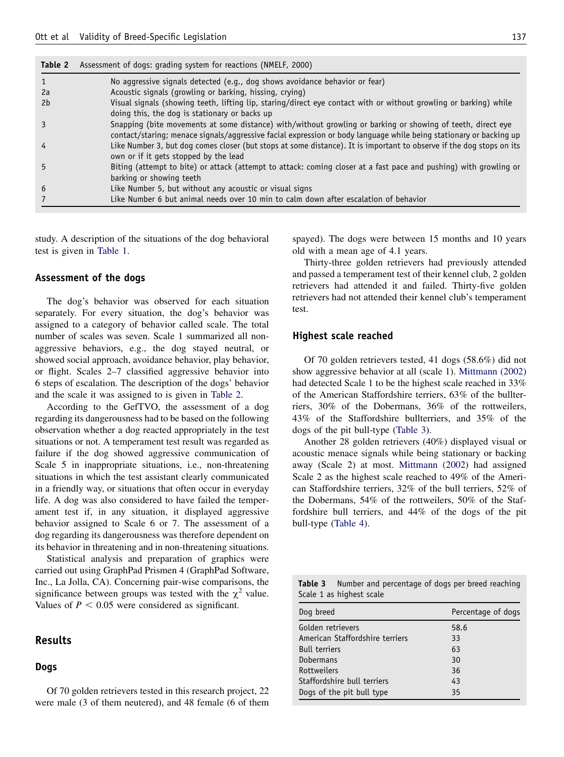| I<br>т.<br>œ<br>w | ۰. |  |  |
|-------------------|----|--|--|
|-------------------|----|--|--|

| Table 2 | Assessment of dogs: grading system for reactions (NMELF, 2000)                                                                                                                                                                    |
|---------|-----------------------------------------------------------------------------------------------------------------------------------------------------------------------------------------------------------------------------------|
|         | No aggressive signals detected (e.g., dog shows avoidance behavior or fear)                                                                                                                                                       |
| 2a      | Acoustic signals (growling or barking, hissing, crying)                                                                                                                                                                           |
| 2b      | Visual signals (showing teeth, lifting lip, staring/direct eye contact with or without growling or barking) while                                                                                                                 |
|         | doing this, the dog is stationary or backs up                                                                                                                                                                                     |
|         | Snapping (bite movements at some distance) with/without growling or barking or showing of teeth, direct eye<br>contact/staring; menace signals/aggressive facial expression or body language while being stationary or backing up |
| 4       | Like Number 3, but dog comes closer (but stops at some distance). It is important to observe if the dog stops on its<br>own or if it gets stopped by the lead                                                                     |
| 5       | Biting (attempt to bite) or attack (attempt to attack: coming closer at a fast pace and pushing) with growling or<br>barking or showing teeth                                                                                     |
| 6       | Like Number 5, but without any acoustic or visual signs                                                                                                                                                                           |
|         | Like Number 6 but animal needs over 10 min to calm down after escalation of behavior                                                                                                                                              |

study. A description of the situations of the dog behavioral test is given in [Table 1.](#page-2-0)

#### Assessment of the dogs

The dog's behavior was observed for each situation separately. For every situation, the dog's behavior was assigned to a category of behavior called scale. The total number of scales was seven. Scale 1 summarized all nonaggressive behaviors, e.g., the dog stayed neutral, or showed social approach, avoidance behavior, play behavior, or flight. Scales 2–7 classified aggressive behavior into 6 steps of escalation. The description of the dogs' behavior and the scale it was assigned to is given in Table 2.

According to the GefTVO, the assessment of a dog regarding its dangerousness had to be based on the following observation whether a dog reacted appropriately in the test situations or not. A temperament test result was regarded as failure if the dog showed aggressive communication of Scale 5 in inappropriate situations, i.e., non-threatening situations in which the test assistant clearly communicated in a friendly way, or situations that often occur in everyday life. A dog was also considered to have failed the temperament test if, in any situation, it displayed aggressive behavior assigned to Scale 6 or 7. The assessment of a dog regarding its dangerousness was therefore dependent on its behavior in threatening and in non-threatening situations.

Statistical analysis and preparation of graphics were carried out using GraphPad Prismen 4 (GraphPad Software, Inc., La Jolla, CA). Concerning pair-wise comparisons, the significance between groups was tested with the  $\chi^2$  value. Values of  $P < 0.05$  were considered as significant.

#### Results

# Dogs

Of 70 golden retrievers tested in this research project, 22 were male (3 of them neutered), and 48 female (6 of them

spayed). The dogs were between 15 months and 10 years old with a mean age of 4.1 years.

Thirty-three golden retrievers had previously attended and passed a temperament test of their kennel club, 2 golden retrievers had attended it and failed. Thirty-five golden retrievers had not attended their kennel club's temperament test.

#### Highest scale reached

Of 70 golden retrievers tested, 41 dogs (58.6%) did not show aggressive behavior at all (scale 1). [Mittmann \(2002\)](#page-6-0) had detected Scale 1 to be the highest scale reached in 33% of the American Staffordshire terriers, 63% of the bullterriers, 30% of the Dobermans, 36% of the rottweilers, 43% of the Staffordshire bullterriers, and 35% of the dogs of the pit bull-type (Table 3).

Another 28 golden retrievers (40%) displayed visual or acoustic menace signals while being stationary or backing away (Scale 2) at most. [Mittmann \(2002\)](#page-6-0) had assigned Scale 2 as the highest scale reached to 49% of the American Staffordshire terriers, 32% of the bull terriers, 52% of the Dobermans, 54% of the rottweilers, 50% of the Staffordshire bull terriers, and 44% of the dogs of the pit bull-type ([Table 4](#page-4-0)).

Table 3 Number and percentage of dogs per breed reaching Scale 1 as highest scale

| Dog breed                       | Percentage of dogs |  |
|---------------------------------|--------------------|--|
| Golden retrievers               | 58.6               |  |
| American Staffordshire terriers | 33                 |  |
| <b>Bull terriers</b>            | 63                 |  |
| <b>Dobermans</b>                | 30                 |  |
| Rottweilers                     | 36                 |  |
| Staffordshire bull terriers     | 43                 |  |
| Dogs of the pit bull type       | 35                 |  |
|                                 |                    |  |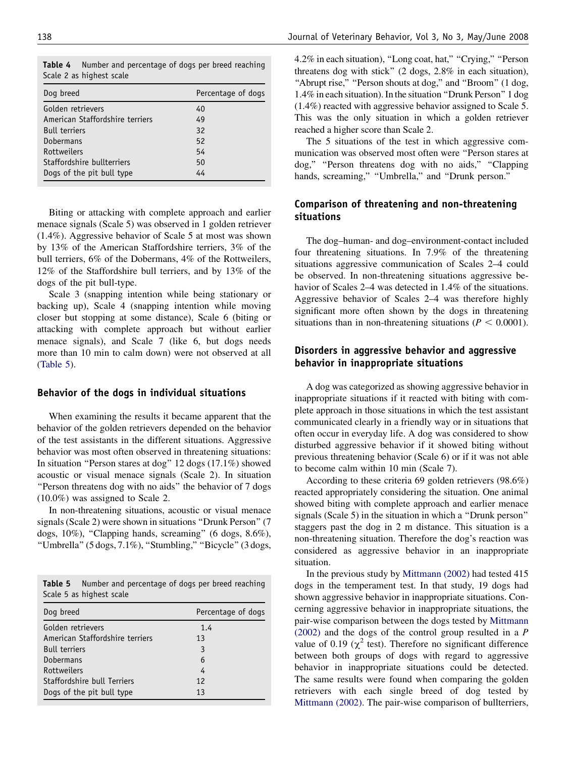| Dog breed                       | Percentage of dogs |
|---------------------------------|--------------------|
| Golden retrievers               | 40                 |
| American Staffordshire terriers | 49                 |
| <b>Bull terriers</b>            | 32                 |
| <b>Dobermans</b>                | 52                 |
| Rottweilers                     | 54                 |
| Staffordshire bullterriers      | 50                 |
| Dogs of the pit bull type       | 44                 |
|                                 |                    |

<span id="page-4-0"></span>Table 4 Number and percentage of dogs per breed reaching Scale 2 as highest scale

Biting or attacking with complete approach and earlier menace signals (Scale 5) was observed in 1 golden retriever (1.4%). Aggressive behavior of Scale 5 at most was shown by 13% of the American Staffordshire terriers, 3% of the bull terriers, 6% of the Dobermans, 4% of the Rottweilers, 12% of the Staffordshire bull terriers, and by 13% of the dogs of the pit bull-type.

Scale 3 (snapping intention while being stationary or backing up), Scale 4 (snapping intention while moving closer but stopping at some distance), Scale 6 (biting or attacking with complete approach but without earlier menace signals), and Scale 7 (like 6, but dogs needs more than 10 min to calm down) were not observed at all (Table 5).

#### Behavior of the dogs in individual situations

When examining the results it became apparent that the behavior of the golden retrievers depended on the behavior of the test assistants in the different situations. Aggressive behavior was most often observed in threatening situations: In situation ''Person stares at dog'' 12 dogs (17.1%) showed acoustic or visual menace signals (Scale 2). In situation "Person threatens dog with no aids" the behavior of 7 dogs (10.0%) was assigned to Scale 2.

In non-threatening situations, acoustic or visual menace signals (Scale 2) were shown in situations ''Drunk Person'' (7 dogs, 10%), "Clapping hands, screaming" (6 dogs, 8.6%), ''Umbrella'' (5 dogs, 7.1%), ''Stumbling,'' ''Bicycle'' (3 dogs,

Table 5 Number and percentage of dogs per breed reaching Scale 5 as highest scale

| Dog breed                       | Percentage of dogs |
|---------------------------------|--------------------|
| Golden retrievers               | 1.4                |
| American Staffordshire terriers | 13                 |
| <b>Bull terriers</b>            | 3                  |
| Dobermans                       | 6                  |
| Rottweilers                     | 4                  |
| Staffordshire bull Terriers     | 12                 |
| Dogs of the pit bull type       | 13                 |
|                                 |                    |

4.2% in each situation), "Long coat, hat," "Crying," "Person threatens dog with stick'' (2 dogs, 2.8% in each situation), "Abrupt rise," "Person shouts at dog," and "Broom" (1 dog, 1.4% in each situation). In the situation ''Drunk Person'' 1 dog (1.4%) reacted with aggressive behavior assigned to Scale 5. This was the only situation in which a golden retriever reached a higher score than Scale 2.

The 5 situations of the test in which aggressive communication was observed most often were ''Person stares at dog," "Person threatens dog with no aids," "Clapping hands, screaming," "Umbrella," and "Drunk person."

## Comparison of threatening and non-threatening situations

The dog–human- and dog–environment-contact included four threatening situations. In 7.9% of the threatening situations aggressive communication of Scales 2–4 could be observed. In non-threatening situations aggressive behavior of Scales 2–4 was detected in 1.4% of the situations. Aggressive behavior of Scales 2–4 was therefore highly significant more often shown by the dogs in threatening situations than in non-threatening situations ( $P < 0.0001$ ).

# Disorders in aggressive behavior and aggressive behavior in inappropriate situations

A dog was categorized as showing aggressive behavior in inappropriate situations if it reacted with biting with complete approach in those situations in which the test assistant communicated clearly in a friendly way or in situations that often occur in everyday life. A dog was considered to show disturbed aggressive behavior if it showed biting without previous threatening behavior (Scale 6) or if it was not able to become calm within 10 min (Scale 7).

According to these criteria 69 golden retrievers (98.6%) reacted appropriately considering the situation. One animal showed biting with complete approach and earlier menace signals (Scale 5) in the situation in which a ''Drunk person'' staggers past the dog in 2 m distance. This situation is a non-threatening situation. Therefore the dog's reaction was considered as aggressive behavior in an inappropriate situation.

In the previous study by [Mittmann \(2002\)](#page-6-0) had tested 415 dogs in the temperament test. In that study, 19 dogs had shown aggressive behavior in inappropriate situations. Concerning aggressive behavior in inappropriate situations, the pair-wise comparison between the dogs tested by [Mittmann](#page-6-0)  $(2002)$  and the dogs of the control group resulted in a P value of 0.19 ( $\chi^2$  test). Therefore no significant difference between both groups of dogs with regard to aggressive behavior in inappropriate situations could be detected. The same results were found when comparing the golden retrievers with each single breed of dog tested by [Mittmann \(2002\).](#page-6-0) The pair-wise comparison of bullterriers,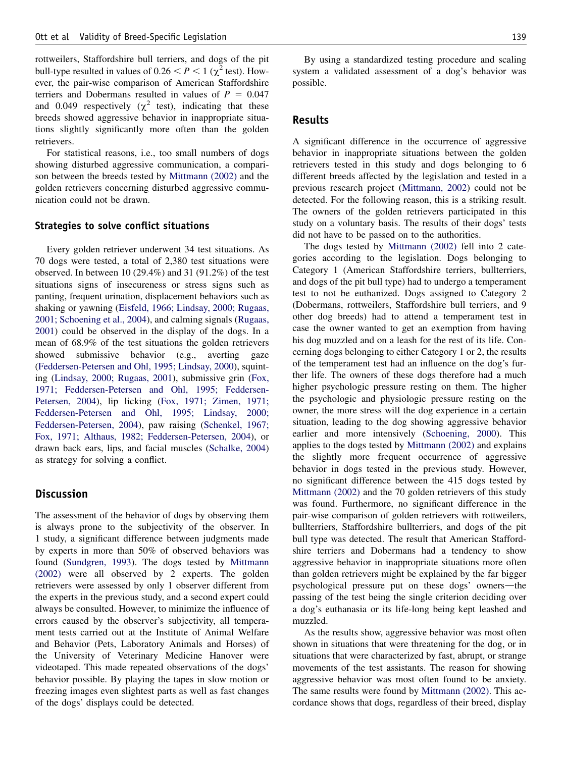rottweilers, Staffordshire bull terriers, and dogs of the pit bull-type resulted in values of  $0.26 < P < 1$  ( $\chi^2$  test). However, the pair-wise comparison of American Staffordshire terriers and Dobermans resulted in values of  $P = 0.047$ and 0.049 respectively ( $\chi^2$  test), indicating that these breeds showed aggressive behavior in inappropriate situations slightly significantly more often than the golden retrievers.

For statistical reasons, i.e., too small numbers of dogs showing disturbed aggressive communication, a comparison between the breeds tested by [Mittmann \(2002\)](#page-6-0) and the golden retrievers concerning disturbed aggressive communication could not be drawn.

#### Strategies to solve conflict situations

Every golden retriever underwent 34 test situations. As 70 dogs were tested, a total of 2,380 test situations were observed. In between 10 (29.4%) and 31 (91.2%) of the test situations signs of insecureness or stress signs such as panting, frequent urination, displacement behaviors such as shaking or yawning [\(Eisfeld, 1966; Lindsay, 2000; Rugaas,](#page-6-0) [2001; Schoening et al., 2004\)](#page-6-0), and calming signals [\(Rugaas,](#page-6-0) [2001\)](#page-6-0) could be observed in the display of the dogs. In a mean of 68.9% of the test situations the golden retrievers showed submissive behavior (e.g., averting gaze [\(Feddersen-Petersen and Ohl, 1995; Lindsay, 2000\)](#page-6-0), squinting ([Lindsay, 2000; Rugaas, 2001](#page-6-0)), submissive grin [\(Fox,](#page-6-0) [1971; Feddersen-Petersen and Ohl, 1995; Feddersen-](#page-6-0)[Petersen, 2004](#page-6-0)), lip licking [\(Fox, 1971; Zimen, 1971;](#page-6-0) [Feddersen-Petersen and Ohl, 1995; Lindsay, 2000;](#page-6-0) [Feddersen-Petersen, 2004](#page-6-0)), paw raising [\(Schenkel, 1967;](#page-6-0) [Fox, 1971; Althaus, 1982; Feddersen-Petersen, 2004](#page-6-0)), or drawn back ears, lips, and facial muscles ([Schalke, 2004\)](#page-6-0) as strategy for solving a conflict.

#### **Discussion**

The assessment of the behavior of dogs by observing them is always prone to the subjectivity of the observer. In 1 study, a significant difference between judgments made by experts in more than 50% of observed behaviors was found [\(Sundgren, 1993](#page-6-0)). The dogs tested by [Mittmann](#page-6-0) [\(2002\)](#page-6-0) were all observed by 2 experts. The golden retrievers were assessed by only 1 observer different from the experts in the previous study, and a second expert could always be consulted. However, to minimize the influence of errors caused by the observer's subjectivity, all temperament tests carried out at the Institute of Animal Welfare and Behavior (Pets, Laboratory Animals and Horses) of the University of Veterinary Medicine Hanover were videotaped. This made repeated observations of the dogs' behavior possible. By playing the tapes in slow motion or freezing images even slightest parts as well as fast changes of the dogs' displays could be detected.

By using a standardized testing procedure and scaling system a validated assessment of a dog's behavior was possible.

#### Results

A significant difference in the occurrence of aggressive behavior in inappropriate situations between the golden retrievers tested in this study and dogs belonging to 6 different breeds affected by the legislation and tested in a previous research project ([Mittmann, 2002](#page-6-0)) could not be detected. For the following reason, this is a striking result. The owners of the golden retrievers participated in this study on a voluntary basis. The results of their dogs' tests did not have to be passed on to the authorities.

The dogs tested by [Mittmann \(2002\)](#page-6-0) fell into 2 categories according to the legislation. Dogs belonging to Category 1 (American Staffordshire terriers, bullterriers, and dogs of the pit bull type) had to undergo a temperament test to not be euthanized. Dogs assigned to Category 2 (Dobermans, rottweilers, Staffordshire bull terriers, and 9 other dog breeds) had to attend a temperament test in case the owner wanted to get an exemption from having his dog muzzled and on a leash for the rest of its life. Concerning dogs belonging to either Category 1 or 2, the results of the temperament test had an influence on the dog's further life. The owners of these dogs therefore had a much higher psychologic pressure resting on them. The higher the psychologic and physiologic pressure resting on the owner, the more stress will the dog experience in a certain situation, leading to the dog showing aggressive behavior earlier and more intensively [\(Schoening, 2000](#page-6-0)). This applies to the dogs tested by [Mittmann \(2002\)](#page-6-0) and explains the slightly more frequent occurrence of aggressive behavior in dogs tested in the previous study. However, no significant difference between the 415 dogs tested by [Mittmann \(2002\)](#page-6-0) and the 70 golden retrievers of this study was found. Furthermore, no significant difference in the pair-wise comparison of golden retrievers with rottweilers, bullterriers, Staffordshire bullterriers, and dogs of the pit bull type was detected. The result that American Staffordshire terriers and Dobermans had a tendency to show aggressive behavior in inappropriate situations more often than golden retrievers might be explained by the far bigger psychological pressure put on these dogs' owners—the passing of the test being the single criterion deciding over a dog's euthanasia or its life-long being kept leashed and muzzled.

As the results show, aggressive behavior was most often shown in situations that were threatening for the dog, or in situations that were characterized by fast, abrupt, or strange movements of the test assistants. The reason for showing aggressive behavior was most often found to be anxiety. The same results were found by [Mittmann \(2002\).](#page-6-0) This accordance shows that dogs, regardless of their breed, display